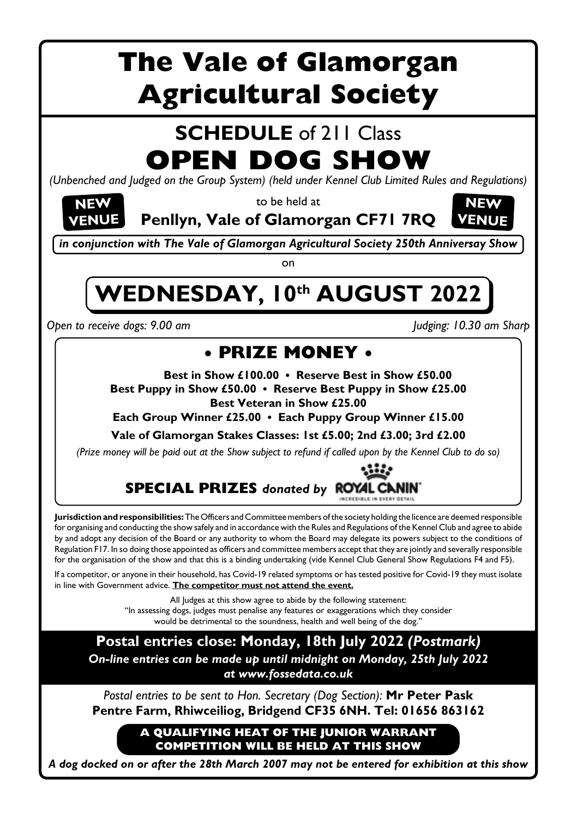# **The Vale of Glamorgan Agricultural Society**

## **SCHEDULE** of 211 Class **OPEN DOG SHOW**

*(Unbenched and Judged on the Group System) (held under Kennel Club Limited Rules and Regulations)*

to be held at

**Penllyn, Vale of Glamorgan CF71 7RQ**



*in conjunction with The Vale of Glamorgan Agricultural Society 250th Anniversay Show*

on

# WEDNESDAY, 10th AUGUST 2022

*Open to receive dogs: 9.00 am Judging: 10.30 am Sharp*

**NEW VENUE**

### **• PRIZE MONEY •**

**Best in Show £100.00 • Reserve Best in Show £50.00 Best Puppy in Show £50.00 • Reserve Best Puppy in Show £25.00**

**Best Veteran in Show £25.00**

**Each Group Winner £25.00 • Each Puppy Group Winner £15.00**

**Vale of Glamorgan Stakes Classes: 1st £5.00; 2nd £3.00; 3rd £2.00**

*(Prize money will be paid out at the Show subject to refund if called upon by the Kennel Club to do so)*

#### **SPECIAL PRIZES** *donated by* **CANIN'** NCREDIBLE IN EVERY DETAIL

**Jurisdiction and responsibilities:** The Officers and Committee members of the society holding the licence are deemed responsible for organising and conducting the show safely and in accordance with the Rules and Regulations of the Kennel Club and agree to abide by and adopt any decision of the Board or any authority to whom the Board may delegate its powers subject to the conditions of Regulation F17. In so doing those appointed as officers and committee members accept that they are jointly and severally responsible for the organisation of the show and that this is a binding undertaking (vide Kennel Club General Show Regulations F4 and F5).

If a competitor, or anyone in their household, has Covid-19 related symptoms or has tested positive for Covid-19 they must isolate in line with Government advice. **The competitor must not attend the event.**

> All Judges at this show agree to abide by the following statement: "In assessing dogs, judges must penalise any features or exaggerations which they consider would be detrimental to the soundness, health and well being of the dog."

**Postal entries close: Monday, 18th July 2022** *(Postmark) On-line entries can be made up until midnight on Monday, 25th July 2022 at www.fossedata.co.uk*

*Postal entries to be sent to Hon. Secretary (Dog Section):* **Mr Peter Pask Pentre Farm, Rhiwceiliog, Bridgend CF35 6NH. Tel: 01656 863162**

> **A QUALIFYING HEAT OF THE JUNIOR WARRANT COMPETITION WILL BE HELD AT THIS SHOW**

*A dog docked on or after the 28th March 2007 may not be entered for exhibition at this show*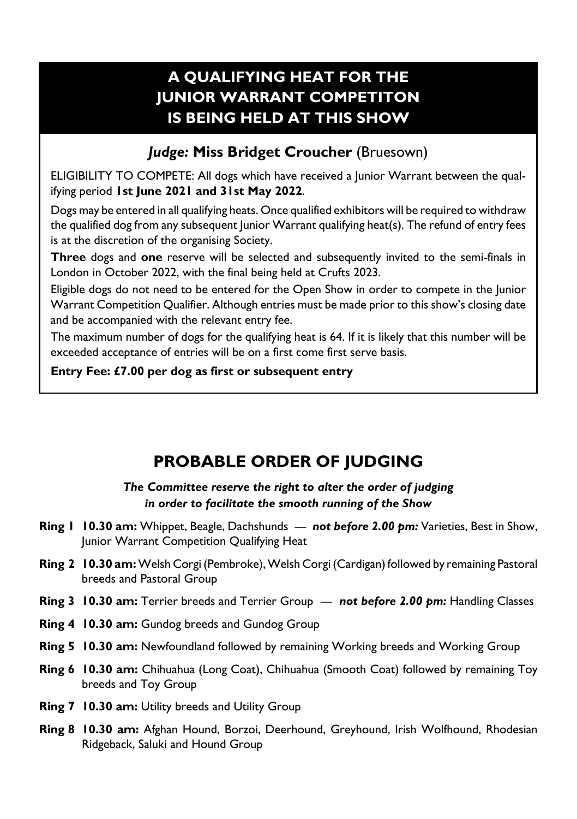### **A QUALIFYING HEAT FOR THE JUNIOR WARRANT COMPETITON IS BEING HELD AT THIS SHOW**

#### *Judge:* **Miss Bridget Croucher** (Bruesown)

ELIGIBILITY TO COMPETE: All dogs which have received a Junior Warrant between the qualifying period **1st June 2021 and 31st May 2022**.

Dogs may be entered in all qualifying heats. Once qualified exhibitors will be required to withdraw the qualified dog from any subsequent Junior Warrant qualifying heat(s). The refund of entry fees is at the discretion of the organising Society.

**Three** dogs and **one** reserve will be selected and subsequently invited to the semi-finals in London in October 2022, with the final being held at Crufts 2023.

Eligible dogs do not need to be entered for the Open Show in order to compete in the Junior Warrant Competition Qualifier. Although entries must be made prior to this show's closing date and be accompanied with the relevant entry fee.

The maximum number of dogs for the qualifying heat is 64. If it is likely that this number will be exceeded acceptance of entries will be on a first come first serve basis.

**Entry Fee: £7.00 per dog as first or subsequent entry**

### **PROBABLE ORDER OF JUDGING**

#### *The Committee reserve the right to alter the order of judging in order to facilitate the smooth running of the Show*

- **Ring 1 10.30 am:** Whippet, Beagle, Dachshunds *not before 2.00 pm:* Varieties, Best in Show, Junior Warrant Competition Qualifying Heat
- **Ring 2 10.30 am:** Welsh Corgi (Pembroke), Welsh Corgi (Cardigan) followed by remaining Pastoral breeds and Pastoral Group
- **Ring 3 10.30 am:** Terrier breeds and Terrier Group *not before 2.00 pm:* Handling Classes
- **Ring 4 10.30 am:** Gundog breeds and Gundog Group
- **Ring 5 10.30 am:** Newfoundland followed by remaining Working breeds and Working Group
- **Ring 6 10.30 am:** Chihuahua (Long Coat), Chihuahua (Smooth Coat) followed by remaining Toy breeds and Toy Group
- **Ring 7 10.30 am: Utility breeds and Utility Group**
- **Ring 8 10.30 am:** Afghan Hound, Borzoi, Deerhound, Greyhound, Irish Wolfhound, Rhodesian Ridgeback, Saluki and Hound Group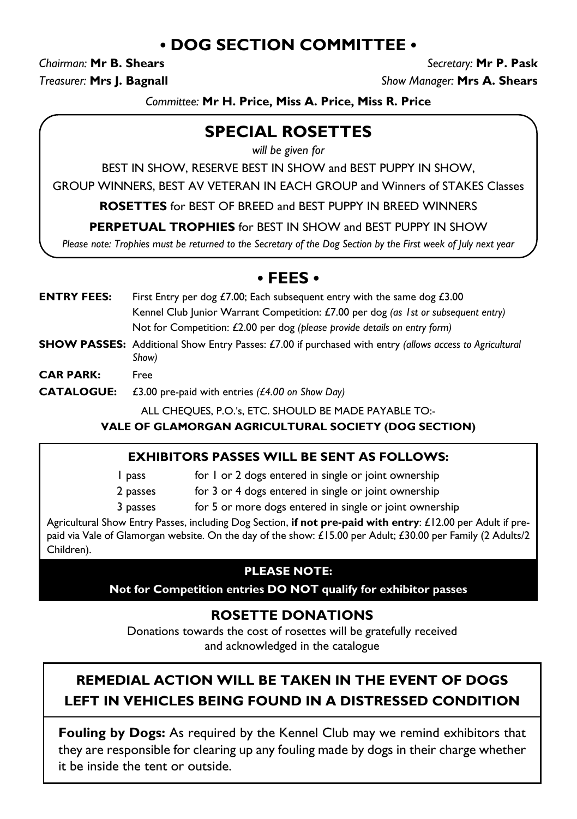### **• DOG SECTION COMMITTEE •**

*Chairman:* **Mr B. Shears** *Secretary:* **Mr P. Pask** *Treasurer:* **Mrs J. Bagnall** *Show Manager:* **Mrs A. Shears**

*Committee:* **Mr H. Price, Miss A. Price, Miss R. Price**

### **SPECIAL ROSETTES**

*will be given for*

BEST IN SHOW, RESERVE BEST IN SHOW and BEST PUPPY IN SHOW,

GROUP WINNERS, BEST AV VETERAN IN EACH GROUP and Winners of STAKES Classes

**ROSETTES** for BEST OF BREED and BEST PUPPY IN BREED WINNERS

**PERPETUAL TROPHIES** for BEST IN SHOW and BEST PUPPY IN SHOW

*Please note: Trophies must be returned to the Secretary of the Dog Section by the First week of July next year*

#### **• FEES •**

- **ENTRY FEES:** First Entry per dog £7.00; Each subsequent entry with the same dog £3.00 Kennel Club Junior Warrant Competition: £7.00 per dog *(as 1st or subsequent entry)* Not for Competition: £2.00 per dog *(please provide details on entry form)*
- **SHOW PASSES:** Additional Show Entry Passes: £7.00 if purchased with entry *(allows access to Agricultural Show)*
- **CAR PARK:** Free
- **CATALOGUE:** £3.00 pre-paid with entries *(£4.00 on Show Day)*

ALL CHEQUES, P.O.'s, ETC. SHOULD BE MADE PAYABLE TO:-

**VALE OF GLAMORGAN AGRICULTURAL SOCIETY (DOG SECTION)**

#### **EXHIBITORS PASSES WILL BE SENT AS FOLLOWS:**

1 pass for 1 or 2 dogs entered in single or joint ownership

2 passes for 3 or 4 dogs entered in single or joint ownership

3 passes for 5 or more dogs entered in single or joint ownership

Agricultural Show Entry Passes, including Dog Section, **if not pre-paid with entry**: £12.00 per Adult if prepaid via Vale of Glamorgan website. On the day of the show: £15.00 per Adult; £30.00 per Family (2 Adults/2 Children).

#### **PLEASE NOTE:**

**Not for Competition entries DO NOT qualify for exhibitor passes**

### **ROSETTE DONATIONS**

Donations towards the cost of rosettes will be gratefully received and acknowledged in the catalogue

### **REMEDIAL ACTION WILL BE TAKEN IN THE EVENT OF DOGS LEFT IN VEHICLES BEING FOUND IN A DISTRESSED CONDITION**

**Fouling by Dogs:** As required by the Kennel Club may we remind exhibitors that they are responsible for clearing up any fouling made by dogs in their charge whether it be inside the tent or outside.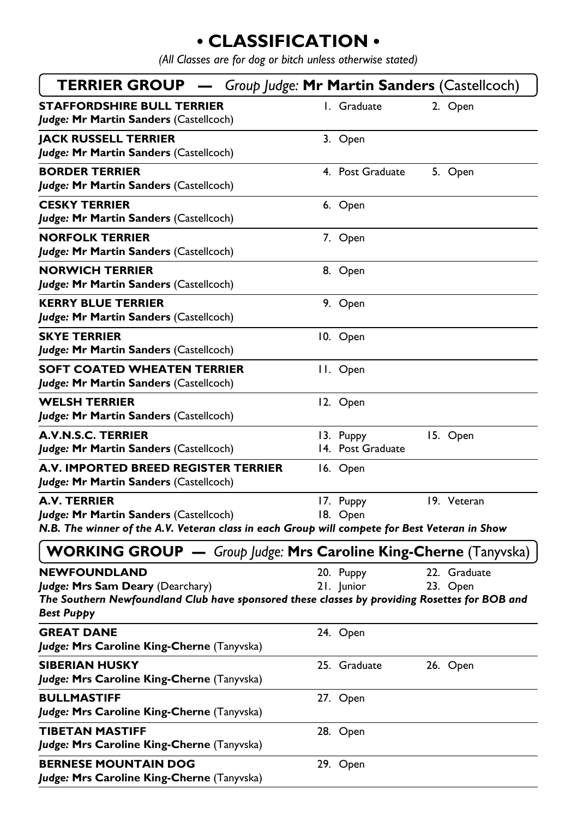### **• CLASSIFICATION •**

*(All Classes are for dog or bitch unless otherwise stated)*

| <b>TERRIER GROUP</b> - Group Judge: Mr Martin Sanders (Castellcoch)                                                                                                           |                                |                          |
|-------------------------------------------------------------------------------------------------------------------------------------------------------------------------------|--------------------------------|--------------------------|
| <b>STAFFORDSHIRE BULL TERRIER</b><br>Judge: Mr Martin Sanders (Castellcoch)                                                                                                   | I. Graduate                    | 2. Open                  |
| <b>JACK RUSSELL TERRIER</b><br>Judge: Mr Martin Sanders (Castellcoch)                                                                                                         | 3. Open                        |                          |
| <b>BORDER TERRIER</b><br>Judge: Mr Martin Sanders (Castellcoch)                                                                                                               | 4. Post Graduate               | 5. Open                  |
| <b>CESKY TERRIER</b><br>Judge: Mr Martin Sanders (Castellcoch)                                                                                                                | 6. Open                        |                          |
| <b>NORFOLK TERRIER</b><br>Judge: Mr Martin Sanders (Castellcoch)                                                                                                              | 7. Open                        |                          |
| <b>NORWICH TERRIER</b><br>Judge: Mr Martin Sanders (Castellcoch)                                                                                                              | 8. Open                        |                          |
| <b>KERRY BLUE TERRIER</b><br>Judge: Mr Martin Sanders (Castellcoch)                                                                                                           | 9. Open                        |                          |
| <b>SKYE TERRIER</b><br>Judge: Mr Martin Sanders (Castellcoch)                                                                                                                 | 10. Open                       |                          |
| <b>SOFT COATED WHEATEN TERRIER</b><br>Judge: Mr Martin Sanders (Castellcoch)                                                                                                  | II. Open                       |                          |
| <b>WELSH TERRIER</b><br>Judge: Mr Martin Sanders (Castellcoch)                                                                                                                | 12. Open                       |                          |
| <b>A.V.N.S.C. TERRIER</b><br>Judge: Mr Martin Sanders (Castellcoch)                                                                                                           | 13. Puppy<br>14. Post Graduate | 15. Open                 |
| A.V. IMPORTED BREED REGISTER TERRIER<br>Judge: Mr Martin Sanders (Castellcoch)                                                                                                | 16. Open                       |                          |
| <b>A.V. TERRIER</b><br>Judge: Mr Martin Sanders (Castellcoch)<br>N.B. The winner of the A.V. Veteran class in each Group will compete for Best Veteran in Show                | 17. Puppy<br>18. Open          | 19. Veteran              |
| <b>WORKING GROUP</b> - Group Judge: Mrs Caroline King-Cherne (Tanyvska)                                                                                                       |                                |                          |
| <b>NEWFOUNDLAND</b><br>Judge: Mrs Sam Deary (Dearchary)<br>The Southern Newfoundland Club have sponsored these classes by providing Rosettes for BOB and<br><b>Best Puppy</b> | 20. Puppy<br>21. Junior        | 22. Graduate<br>23. Open |
| <b>GREAT DANE</b><br>Judge: Mrs Caroline King-Cherne (Tanyvska)                                                                                                               | 24. Open                       |                          |
| <b>SIBERIAN HUSKY</b><br>Judge: Mrs Caroline King-Cherne (Tanyvska)                                                                                                           | 25. Graduate                   | 26. Open                 |
| <b>BULLMASTIFF</b><br>Judge: Mrs Caroline King-Cherne (Tanyvska)                                                                                                              | 27. Open                       |                          |
| <b>TIBETAN MASTIFF</b><br>Judge: Mrs Caroline King-Cherne (Tanyvska)                                                                                                          | 28. Open                       |                          |
| <b>BERNESE MOUNTAIN DOG</b><br>Judge: Mrs Caroline King-Cherne (Tanyvska)                                                                                                     | 29. Open                       |                          |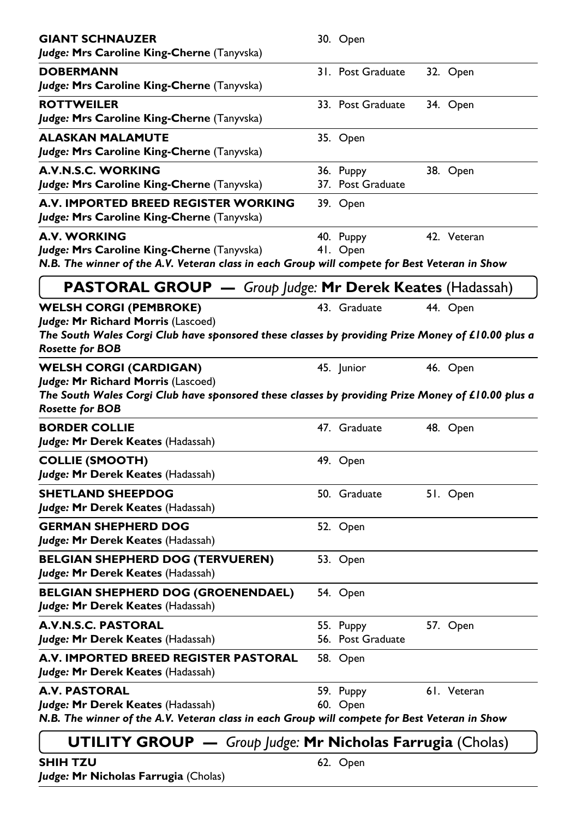| <b>GIANT SCHNAUZER</b><br>Judge: Mrs Caroline King-Cherne (Tanyvska)                                                                                                                               | 30. Open                       |             |
|----------------------------------------------------------------------------------------------------------------------------------------------------------------------------------------------------|--------------------------------|-------------|
| <b>DOBERMANN</b><br>Judge: Mrs Caroline King-Cherne (Tanyvska)                                                                                                                                     | 31. Post Graduate              | 32. Open    |
| <b>ROTTWEILER</b><br>Judge: Mrs Caroline King-Cherne (Tanyvska)                                                                                                                                    | 33. Post Graduate              | 34. Open    |
| <b>ALASKAN MALAMUTE</b><br>Judge: Mrs Caroline King-Cherne (Tanyvska)                                                                                                                              | 35. Open                       |             |
| A.V.N.S.C. WORKING<br>Judge: Mrs Caroline King-Cherne (Tanyvska)                                                                                                                                   | 36. Puppy<br>37. Post Graduate | 38. Open    |
| A.V. IMPORTED BREED REGISTER WORKING<br>Judge: Mrs Caroline King-Cherne (Tanyvska)                                                                                                                 | 39. Open                       |             |
| <b>A.V. WORKING</b><br>Judge: Mrs Caroline King-Cherne (Tanyvska)<br>N.B. The winner of the A.V. Veteran class in each Group will compete for Best Veteran in Show                                 | 40. Puppy<br>41. Open          | 42. Veteran |
| <b>PASTORAL GROUP</b> - Group Judge: Mr Derek Keates (Hadassah)                                                                                                                                    |                                |             |
| <b>WELSH CORGI (PEMBROKE)</b><br>Judge: Mr Richard Morris (Lascoed)<br>The South Wales Corgi Club have sponsored these classes by providing Prize Money of £10.00 plus a<br><b>Rosette for BOB</b> | 43. Graduate                   | 44. Open    |
| <b>WELSH CORGI (CARDIGAN)</b><br>Judge: Mr Richard Morris (Lascoed)<br>The South Wales Corgi Club have sponsored these classes by providing Prize Money of £10.00 plus a<br><b>Rosette for BOB</b> | 45. Junior                     | 46. Open    |
| <b>BORDER COLLIE</b><br>Judge: Mr Derek Keates (Hadassah)                                                                                                                                          | 47. Graduate                   | 48. Open    |
| <b>COLLIE (SMOOTH)</b><br>Judge: Mr Derek Keates (Hadassah)                                                                                                                                        | 49. Open                       |             |
| <b>SHETLAND SHEEPDOG</b><br>Judge: Mr Derek Keates (Hadassah)                                                                                                                                      | 50. Graduate                   | 51. Open    |
| <b>GERMAN SHEPHERD DOG</b><br>Judge: Mr Derek Keates (Hadassah)                                                                                                                                    | 52. Open                       |             |
| <b>BELGIAN SHEPHERD DOG (TERVUEREN)</b><br>Judge: Mr Derek Keates (Hadassah)                                                                                                                       | 53. Open                       |             |
| <b>BELGIAN SHEPHERD DOG (GROENENDAEL)</b><br>Judge: Mr Derek Keates (Hadassah)                                                                                                                     | 54. Open                       |             |
| A.V.N.S.C. PASTORAL<br>Judge: Mr Derek Keates (Hadassah)                                                                                                                                           | 55. Puppy<br>56. Post Graduate | 57. Open    |
| A.V. IMPORTED BREED REGISTER PASTORAL<br>Judge: Mr Derek Keates (Hadassah)                                                                                                                         | 58. Open                       |             |
| A.V. PASTORAL<br>Judge: Mr Derek Keates (Hadassah)<br>N.B. The winner of the A.V. Veteran class in each Group will compete for Best Veteran in Show                                                | 59. Puppy<br>60. Open          | 61. Veteran |
| <b>UTILITY GROUP</b> $-$ Group Judge: Mr Nicholas Farrugia (Cholas)                                                                                                                                |                                |             |
| SHIH TZU<br>Judge: Mr Nicholas Farrugia (Cholas)                                                                                                                                                   | 62. Open                       |             |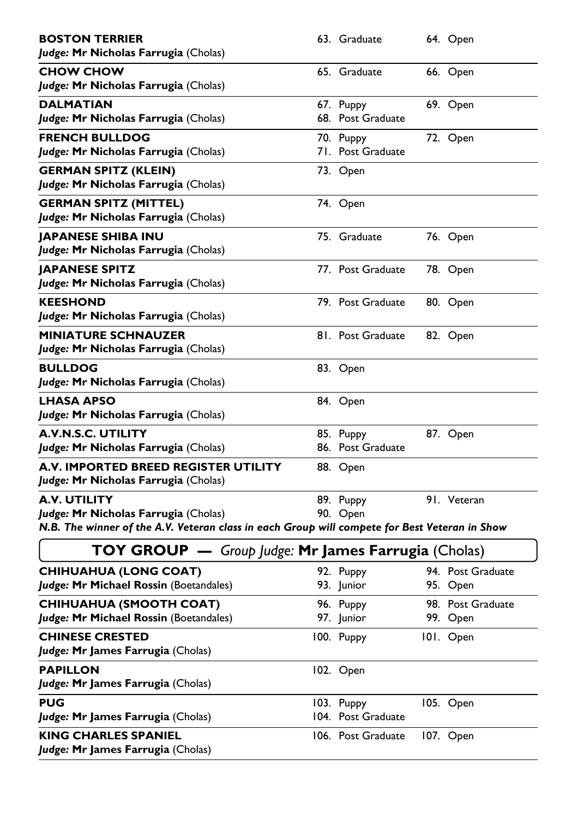| <b>BOSTON TERRIER</b><br>Judge: Mr Nicholas Farrugia (Cholas)                                                                                         | 63. Graduate                     | 64. Open                      |
|-------------------------------------------------------------------------------------------------------------------------------------------------------|----------------------------------|-------------------------------|
| <b>CHOW CHOW</b><br>Judge: Mr Nicholas Farrugia (Cholas)                                                                                              | 65. Graduate                     | 66. Open                      |
| DALMATIAN<br>Judge: Mr Nicholas Farrugia (Cholas)                                                                                                     | 67. Puppy<br>68. Post Graduate   | 69. Open                      |
| <b>FRENCH BULLDOG</b><br>Judge: Mr Nicholas Farrugia (Cholas)                                                                                         | 70. Puppy<br>71. Post Graduate   | 72. Open                      |
| <b>GERMAN SPITZ (KLEIN)</b><br>Judge: Mr Nicholas Farrugia (Cholas)                                                                                   | 73. Open                         |                               |
| <b>GERMAN SPITZ (MITTEL)</b><br>Judge: Mr Nicholas Farrugia (Cholas)                                                                                  | 74. Open                         |                               |
| <b>JAPANESE SHIBA INU</b><br>Judge: Mr Nicholas Farrugia (Cholas)                                                                                     | 75. Graduate                     | 76. Open                      |
| <b>JAPANESE SPITZ</b><br>Judge: Mr Nicholas Farrugia (Cholas)                                                                                         | 77. Post Graduate                | 78. Open                      |
| <b>KEESHOND</b><br>Judge: Mr Nicholas Farrugia (Cholas)                                                                                               | 79. Post Graduate                | 80. Open                      |
| <b>MINIATURE SCHNAUZER</b><br>Judge: Mr Nicholas Farrugia (Cholas)                                                                                    | 81. Post Graduate                | 82. Open                      |
| <b>BULLDOG</b><br>Judge: Mr Nicholas Farrugia (Cholas)                                                                                                | 83. Open                         |                               |
| <b>LHASA APSO</b><br>Judge: Mr Nicholas Farrugia (Cholas)                                                                                             | 84. Open                         |                               |
| <b>A.V.N.S.C. UTILITY</b><br>Judge: Mr Nicholas Farrugia (Cholas)                                                                                     | 85. Puppy<br>86. Post Graduate   | 87. Open                      |
| A.V. IMPORTED BREED REGISTER UTILITY<br>Judge: Mr Nicholas Farrugia (Cholas)                                                                          | 88. Open                         |                               |
| A.V. UTILITY<br>Judge: Mr Nicholas Farrugia (Cholas)<br>N.B. The winner of the A.V. Veteran class in each Group will compete for Best Veteran in Show | 89. Puppy<br>90. Open            | 91. Veteran                   |
| TOY GROUP - Group Judge: Mr James Farrugia (Cholas)                                                                                                   |                                  |                               |
| <b>CHIHUAHUA (LONG COAT)</b><br>Judge: Mr Michael Rossin (Boetandales)                                                                                | 92. Puppy<br>93. Junior          | 94. Post Graduate<br>95. Open |
| <b>CHIHUAHUA (SMOOTH COAT)</b><br>Judge: Mr Michael Rossin (Boetandales)                                                                              | 96. Puppy<br>97. Junior          | 98. Post Graduate<br>99. Open |
| <b>CHINESE CRESTED</b><br>Judge: Mr James Farrugia (Cholas)                                                                                           | 100. Puppy                       | 101. Open                     |
| <b>PAPILLON</b><br>Judge: Mr James Farrugia (Cholas)                                                                                                  | 102. Open                        |                               |
| <b>PUG</b><br>Judge: Mr James Farrugia (Cholas)                                                                                                       | 103. Puppy<br>104. Post Graduate | 105. Open                     |
| <b>KING CHARLES SPANIEL</b><br>Judge: Mr James Farrugia (Cholas)                                                                                      | 106. Post Graduate               | 107. Open                     |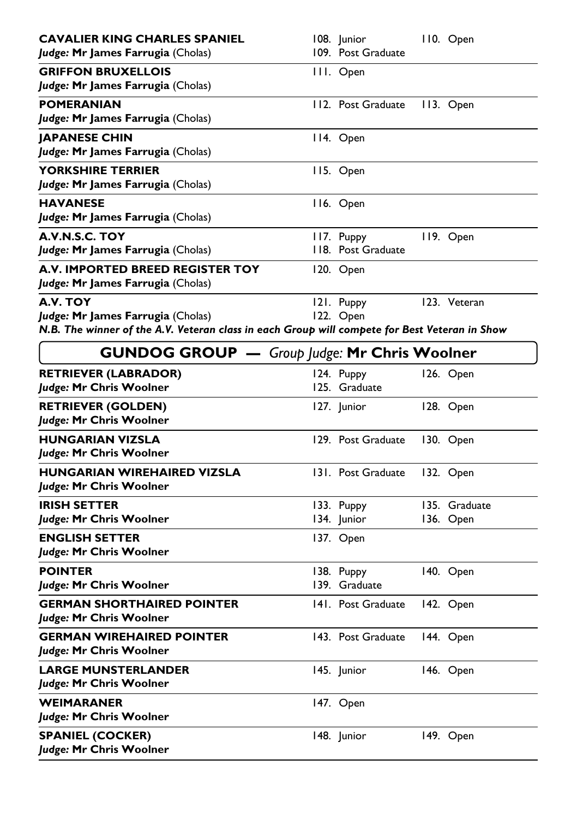| <b>CAVALIER KING CHARLES SPANIEL</b><br>Judge: Mr James Farrugia (Cholas)                                                                      | 108. Junior<br>109. Post Graduate | 110. Open                  |
|------------------------------------------------------------------------------------------------------------------------------------------------|-----------------------------------|----------------------------|
| <b>GRIFFON BRUXELLOIS</b><br>Judge: Mr James Farrugia (Cholas)                                                                                 | III. Open                         |                            |
| <b>POMERANIAN</b><br>Judge: Mr James Farrugia (Cholas)                                                                                         | 112. Post Graduate                | 113. Open                  |
| <b>JAPANESE CHIN</b><br>Judge: Mr James Farrugia (Cholas)                                                                                      | 114. Open                         |                            |
| <b>YORKSHIRE TERRIER</b><br>Judge: Mr James Farrugia (Cholas)                                                                                  | 115. Open                         |                            |
| <b>HAVANESE</b><br>Judge: Mr James Farrugia (Cholas)                                                                                           | 116. Open                         |                            |
| A.V.N.S.C. TOY<br>Judge: Mr James Farrugia (Cholas)                                                                                            | II7. Puppy<br>118. Post Graduate  | 119. Open                  |
| <b>A.V. IMPORTED BREED REGISTER TOY</b><br>Judge: Mr James Farrugia (Cholas)                                                                   | 120. Open                         |                            |
| A.V. TOY<br>Judge: Mr James Farrugia (Cholas)<br>N.B. The winner of the A.V. Veteran class in each Group will compete for Best Veteran in Show | 121. Puppy<br>122. Open           | 123. Veteran               |
| <b>GUNDOG GROUP</b> - Group Judge: Mr Chris Woolner                                                                                            |                                   |                            |
| <b>RETRIEVER (LABRADOR)</b><br>Judge: Mr Chris Woolner                                                                                         | 124. Puppy<br>125. Graduate       | 126. Open                  |
| <b>RETRIEVER (GOLDEN)</b><br>Judge: Mr Chris Woolner                                                                                           | 127. Junior                       | 128. Open                  |
| <b>HUNGARIAN VIZSLA</b><br>Judge: Mr Chris Woolner                                                                                             | 129. Post Graduate                | 130. Open                  |
| HUNGARIAN WIREHAIRED VIZSLA<br>Judge: Mr Chris Woolner                                                                                         | 131. Post Graduate                | 132. Open                  |
| <b>IRISH SETTER</b><br>Judge: Mr Chris Woolner                                                                                                 | 133. Puppy<br>134. Junior         | 135. Graduate<br>136. Open |
| <b>ENGLISH SETTER</b><br>Judge: Mr Chris Woolner                                                                                               | 137. Open                         |                            |
| <b>POINTER</b><br>Judge: Mr Chris Woolner                                                                                                      | 138. Puppy<br>139. Graduate       | 140. Open                  |
| <b>GERMAN SHORTHAIRED POINTER</b><br>Judge: Mr Chris Woolner                                                                                   | 141. Post Graduate                | 142. Open                  |
| <b>GERMAN WIREHAIRED POINTER</b><br>Judge: Mr Chris Woolner                                                                                    | 143. Post Graduate                | 144. Open                  |
|                                                                                                                                                |                                   |                            |
| <b>LARGE MUNSTERLANDER</b><br>Judge: Mr Chris Woolner                                                                                          | 145. Junior                       | 146. Open                  |
| <b>WEIMARANER</b><br>Judge: Mr Chris Woolner                                                                                                   | 147. Open                         |                            |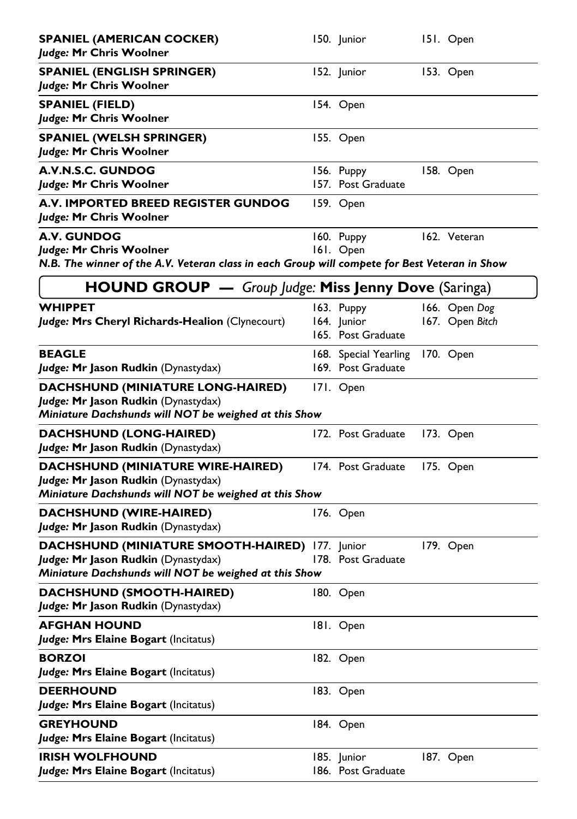| <b>SPANIEL (AMERICAN COCKER)</b><br>Judge: Mr Chris Woolner                                                                                     | 150. Junior                                     | 151. Open                        |
|-------------------------------------------------------------------------------------------------------------------------------------------------|-------------------------------------------------|----------------------------------|
| <b>SPANIEL (ENGLISH SPRINGER)</b><br>Judge: Mr Chris Woolner                                                                                    | 152. Junior                                     | 153. Open                        |
| <b>SPANIEL (FIELD)</b><br>Judge: Mr Chris Woolner                                                                                               | 154. Open                                       |                                  |
| <b>SPANIEL (WELSH SPRINGER)</b><br>Judge: Mr Chris Woolner                                                                                      | 155. Open                                       |                                  |
| A.V.N.S.C. GUNDOG<br>Judge: Mr Chris Woolner                                                                                                    | 156. Puppy<br>157. Post Graduate                | 158. Open                        |
| A.V. IMPORTED BREED REGISTER GUNDOG<br>Judge: Mr Chris Woolner                                                                                  | 159. Open                                       |                                  |
| <b>A.V. GUNDOG</b><br>Judge: Mr Chris Woolner<br>N.B. The winner of the A.V. Veteran class in each Group will compete for Best Veteran in Show  | 160. Puppy<br>161. Open                         | 162. Veteran                     |
|                                                                                                                                                 |                                                 |                                  |
| <b>HOUND GROUP</b> - Group Judge: Miss Jenny Dove (Saringa)                                                                                     |                                                 |                                  |
| <b>WHIPPET</b><br>Judge: Mrs Cheryl Richards-Healion (Clynecourt)                                                                               | 163. Puppy<br>164. Junior<br>165. Post Graduate | 166. Open Dog<br>167. Open Bitch |
| <b>BEAGLE</b><br>Judge: Mr Jason Rudkin (Dynastydax)                                                                                            | 168. Special Yearling<br>169. Post Graduate     | 170. Open                        |
| <b>DACHSHUND (MINIATURE LONG-HAIRED)</b><br>Judge: Mr Jason Rudkin (Dynastydax)<br>Miniature Dachshunds will NOT be weighed at this Show        | 171. Open                                       |                                  |
| DACHSHUND (LONG-HAIRED)<br>Judge: Mr Jason Rudkin (Dynastydax)                                                                                  | 172. Post Graduate                              | 173. Open                        |
| <b>DACHSHUND (MINIATURE WIRE-HAIRED)</b><br>Judge: Mr Jason Rudkin (Dynastydax)<br>Miniature Dachshunds will NOT be weighed at this Show        | 174. Post Graduate                              | 175. Open                        |
| DACHSHUND (WIRE-HAIRED)<br>Judge: Mr Jason Rudkin (Dynastydax)                                                                                  | 176. Open                                       |                                  |
| DACHSHUND (MINIATURE SMOOTH-HAIRED) 177. Junior<br>Judge: Mr Jason Rudkin (Dynastydax)<br>Miniature Dachshunds will NOT be weighed at this Show | 178. Post Graduate                              | 179. Open                        |
| DACHSHUND (SMOOTH-HAIRED)<br>Judge: Mr Jason Rudkin (Dynastydax)                                                                                | 180. Open                                       |                                  |
| <b>AFGHAN HOUND</b><br>Judge: Mrs Elaine Bogart (Incitatus)                                                                                     | 181. Open                                       |                                  |
| <b>BORZOI</b><br>Judge: Mrs Elaine Bogart (Incitatus)                                                                                           | 182. Open                                       |                                  |
| <b>DEERHOUND</b><br>Judge: Mrs Elaine Bogart (Incitatus)                                                                                        | 183. Open                                       |                                  |
| <b>GREYHOUND</b><br>Judge: Mrs Elaine Bogart (Incitatus)                                                                                        | 184. Open                                       |                                  |
| <b>IRISH WOLFHOUND</b><br>Judge: Mrs Elaine Bogart (Incitatus)                                                                                  | 185. Junior<br>186. Post Graduate               | 187. Open                        |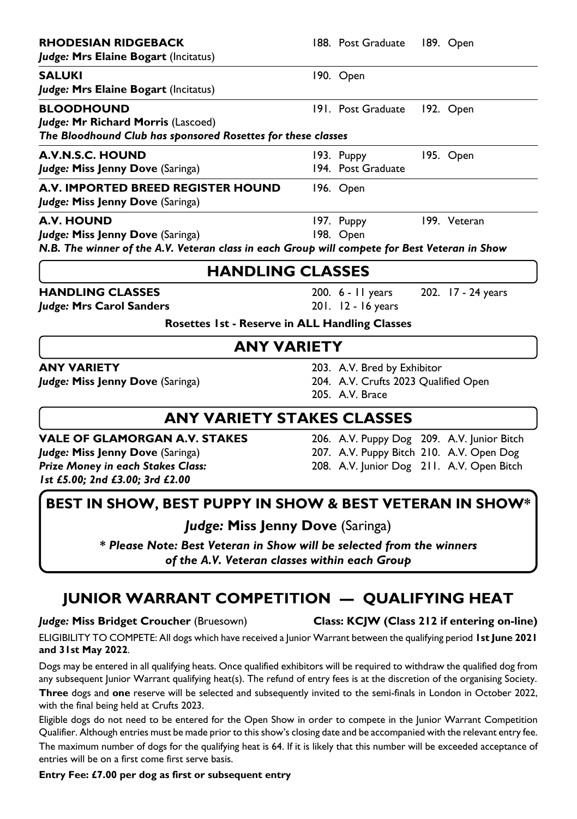| <b>RHODESIAN RIDGEBACK</b>                                                                    | 188. Post Graduate                       |  | 189. Open                                  |  |
|-----------------------------------------------------------------------------------------------|------------------------------------------|--|--------------------------------------------|--|
| Judge: Mrs Elaine Bogart (Incitatus)                                                          |                                          |  |                                            |  |
| SALUKI                                                                                        | 190. Open                                |  |                                            |  |
| Judge: Mrs Elaine Bogart (Incitatus)                                                          |                                          |  |                                            |  |
| <b>BLOODHOUND</b>                                                                             | 191. Post Graduate                       |  | 192. Open                                  |  |
| Judge: Mr Richard Morris (Lascoed)                                                            |                                          |  |                                            |  |
| The Bloodhound Club has sponsored Rosettes for these classes                                  |                                          |  |                                            |  |
| <b>A.V.N.S.C. HOUND</b>                                                                       | 193. Puppy                               |  | 195. Open                                  |  |
| Judge: Miss Jenny Dove (Saringa)                                                              | 194. Post Graduate                       |  |                                            |  |
| <b>A.V. IMPORTED BREED REGISTER HOUND</b>                                                     | 196. Open                                |  |                                            |  |
| Judge: Miss Jenny Dove (Saringa)                                                              |                                          |  |                                            |  |
| A.V. HOUND                                                                                    | 197. Puppy                               |  | 199. Veteran                               |  |
| Judge: Miss Jenny Dove (Saringa)                                                              | 198. Open                                |  |                                            |  |
| N.B. The winner of the A.V. Veteran class in each Group will compete for Best Veteran in Show |                                          |  |                                            |  |
| <b>HANDLING CLASSES</b>                                                                       |                                          |  |                                            |  |
| <b>HANDLING CLASSES</b>                                                                       | 200. 6 - 11 years                        |  | 202. 17 - 24 years                         |  |
| Judge: Mrs Carol Sanders                                                                      | 201. 12 - 16 years                       |  |                                            |  |
| Rosettes 1st - Reserve in ALL Handling Classes                                                |                                          |  |                                            |  |
| <b>ANY VARIETY</b>                                                                            |                                          |  |                                            |  |
| <b>ANY VARIETY</b>                                                                            | 203. A.V. Bred by Exhibitor              |  |                                            |  |
| Judge: Miss Jenny Dove (Saringa)                                                              | 204. A.V. Crufts 2023 Qualified Open     |  |                                            |  |
|                                                                                               | 205. A.V. Brace                          |  |                                            |  |
| <b>ANY VARIETY STAKES CLASSES</b>                                                             |                                          |  |                                            |  |
| <b>VALE OF GLAMORGAN A.V. STAKES</b>                                                          |                                          |  | 206. A.V. Puppy Dog 209. A.V. Junior Bitch |  |
| Judge: Miss Jenny Dove (Saringa)                                                              | 207. A.V. Puppy Bitch 210. A.V. Open Dog |  |                                            |  |

*Prize Money in each Stakes Class:* 208. A.V. Junior Dog 211. A.V. Open Bitch *1st £5.00; 2nd £3.00; 3rd £2.00*

### **BEST IN SHOW, BEST PUPPY IN SHOW & BEST VETERAN IN SHOW\***

*Judge:* **Miss Jenny Dove** (Saringa)

*\* Please Note: Best Veteran in Show will be selected from the winners of the A.V. Veteran classes within each Group*

### **JUNIOR WARRANT COMPETITION — QUALIFYING HEAT**

*Judge:* **Miss Bridget Croucher** (Bruesown) **Class: KCJW (Class 212 if entering on-line)**

ELIGIBILITY TO COMPETE: All dogs which have received a Junior Warrant between the qualifying period **1st June 2021 and 31st May 2022**.

Dogs may be entered in all qualifying heats. Once qualified exhibitors will be required to withdraw the qualified dog from any subsequent Junior Warrant qualifying heat(s). The refund of entry fees is at the discretion of the organising Society.

**Three** dogs and **one** reserve will be selected and subsequently invited to the semi-finals in London in October 2022, with the final being held at Crufts 2023.

Eligible dogs do not need to be entered for the Open Show in order to compete in the Junior Warrant Competition Qualifier. Although entries must be made prior to this show's closing date and be accompanied with the relevant entry fee.

The maximum number of dogs for the qualifying heat is 64. If it is likely that this number will be exceeded acceptance of entries will be on a first come first serve basis.

**Entry Fee: £7.00 per dog as first or subsequent entry**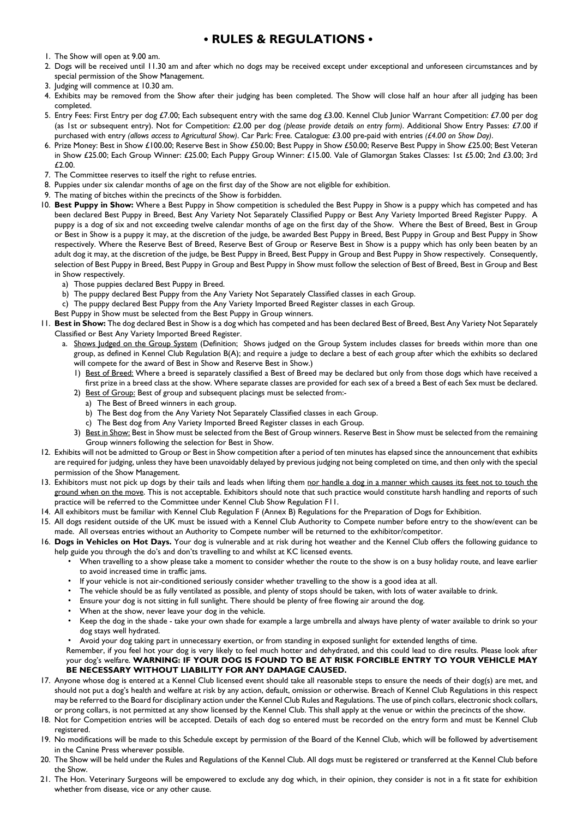#### **• RULES & REGULATIONS •**

- 1. The Show will open at 9.00 am.
- 2. Dogs will be received until 11.30 am and after which no dogs may be received except under exceptional and unforeseen circumstances and by special permission of the Show Management.
- 3. Judging will commence at 10.30 am.
- 4. Exhibits may be removed from the Show after their judging has been completed. The Show will close half an hour after all judging has been completed.
- 5. Entry Fees: First Entry per dog £7.00; Each subsequent entry with the same dog £3.00. Kennel Club Junior Warrant Competition: £7.00 per dog (as 1st or subsequent entry). Not for Competition: £2.00 per dog *(please provide details on entry form)*. Additional Show Entry Passes: £7.00 if purchased with entry *(allows access to Agricultural Show)*. Car Park: Free. Catalogue: £3.00 pre-paid with entries *(£4.00 on Show Day)*.
- 6. Prize Money: Best in Show £100.00; Reserve Best in Show £50.00; Best Puppy in Show £50.00; Reserve Best Puppy in Show £25.00; Best Veteran in Show £25.00; Each Group Winner: £25.00; Each Puppy Group Winner: £15.00. Vale of Glamorgan Stakes Classes: 1st £5.00; 2nd £3.00; 3rd £2.00.
- 7. The Committee reserves to itself the right to refuse entries.
- 8. Puppies under six calendar months of age on the first day of the Show are not eligible for exhibition.
- 9. The mating of bitches within the precincts of the Show is forbidden.
- 10. **Best Puppy in Show:** Where a Best Puppy in Show competition is scheduled the Best Puppy in Show is a puppy which has competed and has been declared Best Puppy in Breed, Best Any Variety Not Separately Classified Puppy or Best Any Variety Imported Breed Register Puppy. A puppy is a dog of six and not exceeding twelve calendar months of age on the first day of the Show. Where the Best of Breed, Best in Group or Best in Show is a puppy it may, at the discretion of the judge, be awarded Best Puppy in Breed, Best Puppy in Group and Best Puppy in Show respectively. Where the Reserve Best of Breed, Reserve Best of Group or Reserve Best in Show is a puppy which has only been beaten by an adult dog it may, at the discretion of the judge, be Best Puppy in Breed, Best Puppy in Group and Best Puppy in Show respectively. Consequently, selection of Best Puppy in Breed, Best Puppy in Group and Best Puppy in Show must follow the selection of Best of Breed, Best in Group and Best in Show respectively.
	- a) Those puppies declared Best Puppy in Breed.
	- b) The puppy declared Best Puppy from the Any Variety Not Separately Classified classes in each Group.
	- c) The puppy declared Best Puppy from the Any Variety Imported Breed Register classes in each Group.
	- Best Puppy in Show must be selected from the Best Puppy in Group winners.
- 11. **Best in Show:** The dog declared Best in Show is a dog which has competed and has been declared Best of Breed, Best Any Variety Not Separately Classified or Best Any Variety Imported Breed Register.
	- a. Shows Judged on the Group System (Definition; Shows judged on the Group System includes classes for breeds within more than one group, as defined in Kennel Club Regulation B(A); and require a judge to declare a best of each group after which the exhibits so declared will compete for the award of Best in Show and Reserve Best in Show.)
		- 1) Best of Breed: Where a breed is separately classified a Best of Breed may be declared but only from those dogs which have received a first prize in a breed class at the show. Where separate classes are provided for each sex of a breed a Best of each Sex must be declared.
		- 2) Best of Group: Best of group and subsequent placings must be selected from:
			- a) The Best of Breed winners in each group.
			- b) The Best dog from the Any Variety Not Separately Classified classes in each Group.
			- c) The Best dog from Any Variety Imported Breed Register classes in each Group.
		- 3) Best in Show: Best in Show must be selected from the Best of Group winners. Reserve Best in Show must be selected from the remaining Group winners following the selection for Best in Show.
- 12. Exhibits will not be admitted to Group or Best in Show competition after a period of ten minutes has elapsed since the announcement that exhibits are required for judging, unless they have been unavoidably delayed by previous judging not being completed on time, and then only with the special permission of the Show Management.
- 13. Exhibitors must not pick up dogs by their tails and leads when lifting them nor handle a dog in a manner which causes its feet not to touch the ground when on the move. This is not acceptable. Exhibitors should note that such practice would constitute harsh handling and reports of such practice will be referred to the Committee under Kennel Club Show Regulation F11.
- 14. All exhibitors must be familiar with Kennel Club Regulation F (Annex B) Regulations for the Preparation of Dogs for Exhibition.
- 15. All dogs resident outside of the UK must be issued with a Kennel Club Authority to Compete number before entry to the show/event can be made. All overseas entries without an Authority to Compete number will be returned to the exhibitor/competitor.
- 16. **Dogs in Vehicles on Hot Days.** Your dog is vulnerable and at risk during hot weather and the Kennel Club offers the following guidance to help guide you through the do's and don'ts travelling to and whilst at KC licensed events.
	- When travelling to a show please take a moment to consider whether the route to the show is on a busy holiday route, and leave earlier to avoid increased time in traffic jams.
	- If your vehicle is not air-conditioned seriously consider whether travelling to the show is a good idea at all.
	- The vehicle should be as fully ventilated as possible, and plenty of stops should be taken, with lots of water available to drink.
	- Ensure your dog is not sitting in full sunlight. There should be plenty of free flowing air around the dog.
	- When at the show, never leave your dog in the vehicle.
	- Keep the dog in the shade take your own shade for example a large umbrella and always have plenty of water available to drink so your dog stays well hydrated.
	- Avoid your dog taking part in unnecessary exertion, or from standing in exposed sunlight for extended lengths of time.

 Remember, if you feel hot your dog is very likely to feel much hotter and dehydrated, and this could lead to dire results. Please look after your dog's welfare. **WARNING: IF YOUR DOG IS FOUND TO BE AT RISK FORCIBLE ENTRY TO YOUR VEHICLE MAY BE NECESSARY WITHOUT LIABILITY FOR ANY DAMAGE CAUSED.** 

- 17. Anyone whose dog is entered at a Kennel Club licensed event should take all reasonable steps to ensure the needs of their dog(s) are met, and should not put a dog's health and welfare at risk by any action, default, omission or otherwise. Breach of Kennel Club Regulations in this respect may be referred to the Board for disciplinary action under the Kennel Club Rules and Regulations. The use of pinch collars, electronic shock collars, or prong collars, is not permitted at any show licensed by the Kennel Club. This shall apply at the venue or within the precincts of the show.
- 18. Not for Competition entries will be accepted. Details of each dog so entered must be recorded on the entry form and must be Kennel Club registered.
- 19. No modifications will be made to this Schedule except by permission of the Board of the Kennel Club, which will be followed by advertisement in the Canine Press wherever possible.
- 20. The Show will be held under the Rules and Regulations of the Kennel Club. All dogs must be registered or transferred at the Kennel Club before the Show.
- 21. The Hon. Veterinary Surgeons will be empowered to exclude any dog which, in their opinion, they consider is not in a fit state for exhibition whether from disease, vice or any other cause.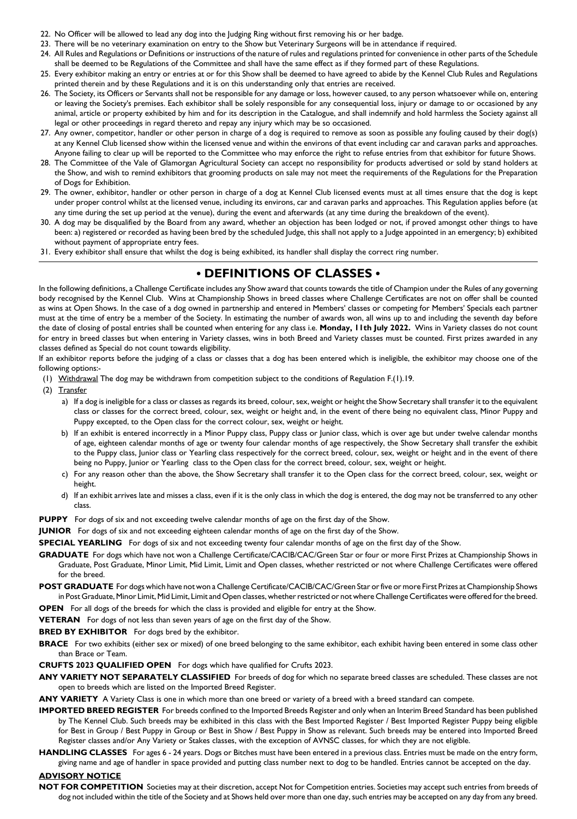- 22. No Officer will be allowed to lead any dog into the Judging Ring without first removing his or her badge.
- 23. There will be no veterinary examination on entry to the Show but Veterinary Surgeons will be in attendance if required.
- 24. All Rules and Regulations or Definitions or instructions of the nature of rules and regulations printed for convenience in other parts of the Schedule shall be deemed to be Regulations of the Committee and shall have the same effect as if they formed part of these Regulations.
- 25. Every exhibitor making an entry or entries at or for this Show shall be deemed to have agreed to abide by the Kennel Club Rules and Regulations printed therein and by these Regulations and it is on this understanding only that entries are received.
- 26. The Society, its Officers or Servants shall not be responsible for any damage or loss, however caused, to any person whatsoever while on, entering or leaving the Society's premises. Each exhibitor shall be solely responsible for any consequential loss, injury or damage to or occasioned by any animal, article or property exhibited by him and for its description in the Catalogue, and shall indemnify and hold harmless the Society against all legal or other proceedings in regard thereto and repay any injury which may be so occasioned.
- 27. Any owner, competitor, handler or other person in charge of a dog is required to remove as soon as possible any fouling caused by their dog(s) at any Kennel Club licensed show within the licensed venue and within the environs of that event including car and caravan parks and approaches. Anyone failing to clear up will be reported to the Committee who may enforce the right to refuse entries from that exhibitor for future Shows.
- 28. The Committee of the Vale of Glamorgan Agricultural Society can accept no responsibility for products advertised or sold by stand holders at the Show, and wish to remind exhibitors that grooming products on sale may not meet the requirements of the Regulations for the Preparation of Dogs for Exhibition.
- 29. The owner, exhibitor, handler or other person in charge of a dog at Kennel Club licensed events must at all times ensure that the dog is kept under proper control whilst at the licensed venue, including its environs, car and caravan parks and approaches. This Regulation applies before (at any time during the set up period at the venue), during the event and afterwards (at any time during the breakdown of the event).
- 30. A dog may be disqualified by the Board from any award, whether an objection has been lodged or not, if proved amongst other things to have been: a) registered or recorded as having been bred by the scheduled Judge, this shall not apply to a Judge appointed in an emergency; b) exhibited without payment of appropriate entry fees.
- 31. Every exhibitor shall ensure that whilst the dog is being exhibited, its handler shall display the correct ring number.

#### **• DEFINITIONS OF CLASSES •**

In the following definitions, a Challenge Certificate includes any Show award that counts towards the title of Champion under the Rules of any governing body recognised by the Kennel Club. Wins at Championship Shows in breed classes where Challenge Certificates are not on offer shall be counted as wins at Open Shows. In the case of a dog owned in partnership and entered in Members' classes or competing for Members' Specials each partner must at the time of entry be a member of the Society. In estimating the number of awards won, all wins up to and including the seventh day before the date of closing of postal entries shall be counted when entering for any class i.e. **Monday, 11th July 2022.** Wins in Variety classes do not count for entry in breed classes but when entering in Variety classes, wins in both Breed and Variety classes must be counted. First prizes awarded in any classes defined as Special do not count towards eligibility.

If an exhibitor reports before the judging of a class or classes that a dog has been entered which is ineligible, the exhibitor may choose one of the following options:-

- (1) Withdrawal The dog may be withdrawn from competition subject to the conditions of Regulation F.(1).19.
- (2) Transfer
	- a) If a dog is ineligible for a class or classes as regards its breed, colour, sex, weight or height the Show Secretary shall transfer it to the equivalent class or classes for the correct breed, colour, sex, weight or height and, in the event of there being no equivalent class, Minor Puppy and Puppy excepted, to the Open class for the correct colour, sex, weight or height.
	- b) If an exhibit is entered incorrectly in a Minor Puppy class, Puppy class or Junior class, which is over age but under twelve calendar months of age, eighteen calendar months of age or twenty four calendar months of age respectively, the Show Secretary shall transfer the exhibit to the Puppy class, Junior class or Yearling class respectively for the correct breed, colour, sex, weight or height and in the event of there being no Puppy, Junior or Yearling class to the Open class for the correct breed, colour, sex, weight or height.
	- c) For any reason other than the above, the Show Secretary shall transfer it to the Open class for the correct breed, colour, sex, weight or height.
	- d) If an exhibit arrives late and misses a class, even if it is the only class in which the dog is entered, the dog may not be transferred to any other class.
- **PUPPY** For dogs of six and not exceeding twelve calendar months of age on the first day of the Show.
- **JUNIOR** For dogs of six and not exceeding eighteen calendar months of age on the first day of the Show.
- **SPECIAL YEARLING** For dogs of six and not exceeding twenty four calendar months of age on the first day of the Show.
- **GRADUATE** For dogs which have not won a Challenge Certificate/CACIB/CAC/Green Star or four or more First Prizes at Championship Shows in Graduate, Post Graduate, Minor Limit, Mid Limit, Limit and Open classes, whether restricted or not where Challenge Certificates were offered for the breed.
- **POST GRADUATE** For dogs which have not won a Challenge Certificate/CACIB/CAC/Green Star or five or more First Prizes at Championship Shows in Post Graduate, Minor Limit, Mid Limit, Limit and Open classes, whether restricted or not where Challenge Certificates were offered for the breed.
- **OPEN** For all dogs of the breeds for which the class is provided and eligible for entry at the Show.
- **VETERAN** For dogs of not less than seven years of age on the first day of the Show.
- **BRED BY EXHIBITOR** For dogs bred by the exhibitor.
- **BRACE** For two exhibits (either sex or mixed) of one breed belonging to the same exhibitor, each exhibit having been entered in some class other than Brace or Team.
- **CRUFTS 2023 QUALIFIED OPEN** For dogs which have qualified for Crufts 2023.
- ANY VARIETY NOT SEPARATELY CLASSIFIED For breeds of dog for which no separate breed classes are scheduled. These classes are not open to breeds which are listed on the Imported Breed Register.
- **ANY VARIETY** A Variety Class is one in which more than one breed or variety of a breed with a breed standard can compete.
- **IMPORTED BREED REGISTER** For breeds confined to the Imported Breeds Register and only when an Interim Breed Standard has been published by The Kennel Club. Such breeds may be exhibited in this class with the Best Imported Register / Best Imported Register Puppy being eligible for Best in Group / Best Puppy in Group or Best in Show / Best Puppy in Show as relevant. Such breeds may be entered into Imported Breed Register classes and/or Any Variety or Stakes classes, with the exception of AVNSC classes, for which they are not eligible.
- **HANDLING CLASSES** For ages 6 24 years. Dogs or Bitches must have been entered in a previous class. Entries must be made on the entry form, giving name and age of handler in space provided and putting class number next to dog to be handled. Entries cannot be accepted on the day.

#### **ADVISORY NOTICE**

**NOT FOR COMPETITION** Societies may at their discretion, accept Not for Competition entries. Societies may accept such entries from breeds of dog not included within the title of the Society and at Shows held over more than one day, such entries may be accepted on any day from any breed.